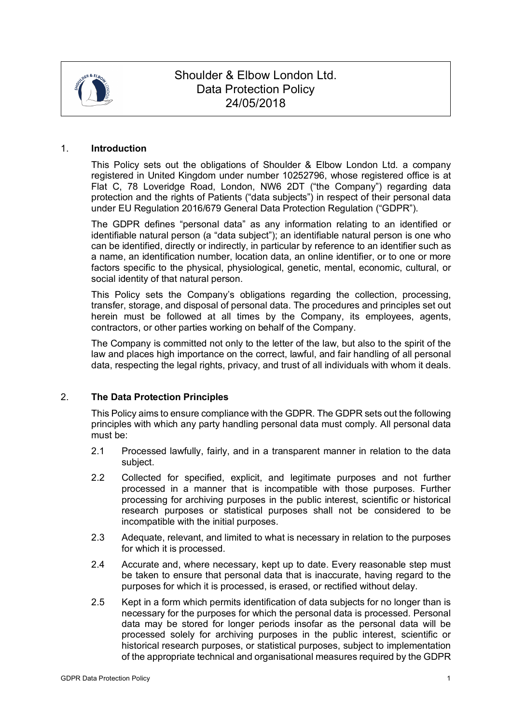

# Shoulder & Elbow London Ltd. Data Protection Policy 24/05/2018

#### 1. **Introduction**

This Policy sets out the obligations of Shoulder & Elbow London Ltd. a company registered in United Kingdom under number 10252796, whose registered office is at Flat C, 78 Loveridge Road, London, NW6 2DT ("the Company") regarding data protection and the rights of Patients ("data subjects") in respect of their personal data under EU Regulation 2016/679 General Data Protection Regulation ("GDPR").

The GDPR defines "personal data" as any information relating to an identified or identifiable natural person (a "data subject"); an identifiable natural person is one who can be identified, directly or indirectly, in particular by reference to an identifier such as a name, an identification number, location data, an online identifier, or to one or more factors specific to the physical, physiological, genetic, mental, economic, cultural, or social identity of that natural person.

This Policy sets the Company's obligations regarding the collection, processing, transfer, storage, and disposal of personal data. The procedures and principles set out herein must be followed at all times by the Company, its employees, agents, contractors, or other parties working on behalf of the Company.

The Company is committed not only to the letter of the law, but also to the spirit of the law and places high importance on the correct, lawful, and fair handling of all personal data, respecting the legal rights, privacy, and trust of all individuals with whom it deals.

# 2. **The Data Protection Principles**

This Policy aims to ensure compliance with the GDPR. The GDPR sets out the following principles with which any party handling personal data must comply. All personal data must be:

- 2.1 Processed lawfully, fairly, and in a transparent manner in relation to the data subject.
- 2.2 Collected for specified, explicit, and legitimate purposes and not further processed in a manner that is incompatible with those purposes. Further processing for archiving purposes in the public interest, scientific or historical research purposes or statistical purposes shall not be considered to be incompatible with the initial purposes.
- 2.3 Adequate, relevant, and limited to what is necessary in relation to the purposes for which it is processed.
- 2.4 Accurate and, where necessary, kept up to date. Every reasonable step must be taken to ensure that personal data that is inaccurate, having regard to the purposes for which it is processed, is erased, or rectified without delay.
- 2.5 Kept in a form which permits identification of data subjects for no longer than is necessary for the purposes for which the personal data is processed. Personal data may be stored for longer periods insofar as the personal data will be processed solely for archiving purposes in the public interest, scientific or historical research purposes, or statistical purposes, subject to implementation of the appropriate technical and organisational measures required by the GDPR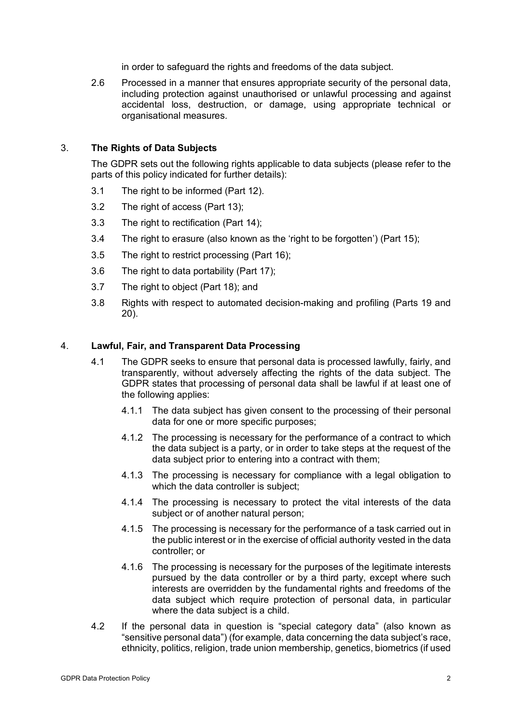in order to safeguard the rights and freedoms of the data subject.

2.6 Processed in a manner that ensures appropriate security of the personal data, including protection against unauthorised or unlawful processing and against accidental loss, destruction, or damage, using appropriate technical or organisational measures.

# 3. **The Rights of Data Subjects**

The GDPR sets out the following rights applicable to data subjects (please refer to the parts of this policy indicated for further details):

- 3.1 The right to be informed (Part 12).
- 3.2 The right of access (Part 13);
- 3.3 The right to rectification (Part 14);
- 3.4 The right to erasure (also known as the 'right to be forgotten') (Part 15);
- 3.5 The right to restrict processing (Part 16);
- 3.6 The right to data portability (Part 17):
- 3.7 The right to object (Part 18); and
- 3.8 Rights with respect to automated decision-making and profiling (Parts 19 and 20).

# 4. **Lawful, Fair, and Transparent Data Processing**

- 4.1 The GDPR seeks to ensure that personal data is processed lawfully, fairly, and transparently, without adversely affecting the rights of the data subject. The GDPR states that processing of personal data shall be lawful if at least one of the following applies:
	- 4.1.1 The data subject has given consent to the processing of their personal data for one or more specific purposes;
	- 4.1.2 The processing is necessary for the performance of a contract to which the data subject is a party, or in order to take steps at the request of the data subject prior to entering into a contract with them;
	- 4.1.3 The processing is necessary for compliance with a legal obligation to which the data controller is subject;
	- 4.1.4 The processing is necessary to protect the vital interests of the data subject or of another natural person;
	- 4.1.5 The processing is necessary for the performance of a task carried out in the public interest or in the exercise of official authority vested in the data controller; or
	- 4.1.6 The processing is necessary for the purposes of the legitimate interests pursued by the data controller or by a third party, except where such interests are overridden by the fundamental rights and freedoms of the data subject which require protection of personal data, in particular where the data subject is a child.
- 4.2 If the personal data in question is "special category data" (also known as "sensitive personal data") (for example, data concerning the data subject's race, ethnicity, politics, religion, trade union membership, genetics, biometrics (if used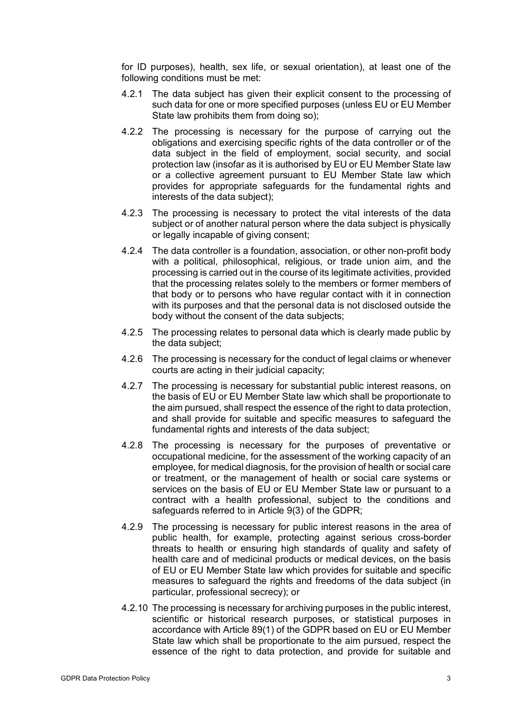for ID purposes), health, sex life, or sexual orientation), at least one of the following conditions must be met:

- 4.2.1 The data subject has given their explicit consent to the processing of such data for one or more specified purposes (unless EU or EU Member State law prohibits them from doing so);
- 4.2.2 The processing is necessary for the purpose of carrying out the obligations and exercising specific rights of the data controller or of the data subject in the field of employment, social security, and social protection law (insofar as it is authorised by EU or EU Member State law or a collective agreement pursuant to EU Member State law which provides for appropriate safeguards for the fundamental rights and interests of the data subject);
- 4.2.3 The processing is necessary to protect the vital interests of the data subject or of another natural person where the data subject is physically or legally incapable of giving consent;
- 4.2.4 The data controller is a foundation, association, or other non-profit body with a political, philosophical, religious, or trade union aim, and the processing is carried out in the course of its legitimate activities, provided that the processing relates solely to the members or former members of that body or to persons who have regular contact with it in connection with its purposes and that the personal data is not disclosed outside the body without the consent of the data subjects;
- 4.2.5 The processing relates to personal data which is clearly made public by the data subject;
- 4.2.6 The processing is necessary for the conduct of legal claims or whenever courts are acting in their judicial capacity;
- 4.2.7 The processing is necessary for substantial public interest reasons, on the basis of EU or EU Member State law which shall be proportionate to the aim pursued, shall respect the essence of the right to data protection, and shall provide for suitable and specific measures to safeguard the fundamental rights and interests of the data subject;
- 4.2.8 The processing is necessary for the purposes of preventative or occupational medicine, for the assessment of the working capacity of an employee, for medical diagnosis, for the provision of health or social care or treatment, or the management of health or social care systems or services on the basis of EU or EU Member State law or pursuant to a contract with a health professional, subject to the conditions and safeguards referred to in Article 9(3) of the GDPR;
- 4.2.9 The processing is necessary for public interest reasons in the area of public health, for example, protecting against serious cross-border threats to health or ensuring high standards of quality and safety of health care and of medicinal products or medical devices, on the basis of EU or EU Member State law which provides for suitable and specific measures to safeguard the rights and freedoms of the data subject (in particular, professional secrecy); or
- 4.2.10 The processing is necessary for archiving purposes in the public interest, scientific or historical research purposes, or statistical purposes in accordance with Article 89(1) of the GDPR based on EU or EU Member State law which shall be proportionate to the aim pursued, respect the essence of the right to data protection, and provide for suitable and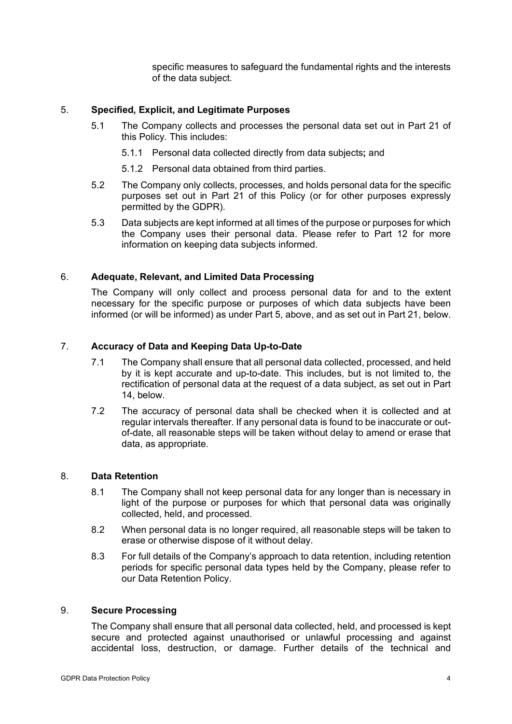specific measures to safeguard the fundamental rights and the interests of the data subject.

# 5. **Specified, Explicit, and Legitimate Purposes**

- 5.1 The Company collects and processes the personal data set out in Part 21 of this Policy. This includes:
	- 5.1.1 Personal data collected directly from data subjects**;** and
	- 5.1.2 Personal data obtained from third parties.
- 5.2 The Company only collects, processes, and holds personal data for the specific purposes set out in Part 21 of this Policy (or for other purposes expressly permitted by the GDPR).
- 5.3 Data subjects are kept informed at all times of the purpose or purposes for which the Company uses their personal data. Please refer to Part 12 for more information on keeping data subjects informed.

# 6. **Adequate, Relevant, and Limited Data Processing**

The Company will only collect and process personal data for and to the extent necessary for the specific purpose or purposes of which data subjects have been informed (or will be informed) as under Part 5, above, and as set out in Part 21, below.

# 7. **Accuracy of Data and Keeping Data Up-to-Date**

- 7.1 The Company shall ensure that all personal data collected, processed, and held by it is kept accurate and up-to-date. This includes, but is not limited to, the rectification of personal data at the request of a data subject, as set out in Part 14, below.
- 7.2 The accuracy of personal data shall be checked when it is collected and at regular intervals thereafter. If any personal data is found to be inaccurate or outof-date, all reasonable steps will be taken without delay to amend or erase that data, as appropriate.

# 8. **Data Retention**

- 8.1 The Company shall not keep personal data for any longer than is necessary in light of the purpose or purposes for which that personal data was originally collected, held, and processed.
- 8.2 When personal data is no longer required, all reasonable steps will be taken to erase or otherwise dispose of it without delay.
- 8.3 For full details of the Company's approach to data retention, including retention periods for specific personal data types held by the Company, please refer to our Data Retention Policy.

# 9. **Secure Processing**

The Company shall ensure that all personal data collected, held, and processed is kept secure and protected against unauthorised or unlawful processing and against accidental loss, destruction, or damage. Further details of the technical and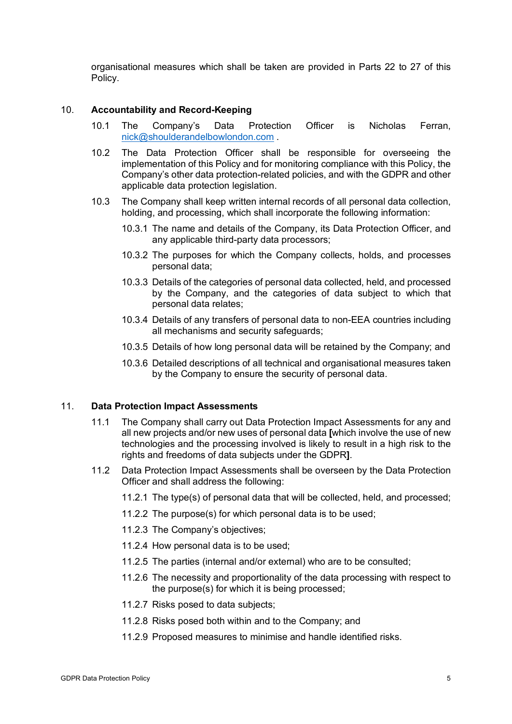organisational measures which shall be taken are provided in Parts 22 to 27 of this Policy.

#### 10. **Accountability and Record-Keeping**

- 10.1 The Company's Data Protection Officer is Nicholas Ferran, nick@shoulderandelbowlondon.com .
- 10.2 The Data Protection Officer shall be responsible for overseeing the implementation of this Policy and for monitoring compliance with this Policy, the Company's other data protection-related policies, and with the GDPR and other applicable data protection legislation.
- 10.3 The Company shall keep written internal records of all personal data collection, holding, and processing, which shall incorporate the following information:
	- 10.3.1 The name and details of the Company, its Data Protection Officer, and any applicable third-party data processors;
	- 10.3.2 The purposes for which the Company collects, holds, and processes personal data;
	- 10.3.3 Details of the categories of personal data collected, held, and processed by the Company, and the categories of data subject to which that personal data relates;
	- 10.3.4 Details of any transfers of personal data to non-EEA countries including all mechanisms and security safeguards;
	- 10.3.5 Details of how long personal data will be retained by the Company; and
	- 10.3.6 Detailed descriptions of all technical and organisational measures taken by the Company to ensure the security of personal data.

#### 11. **Data Protection Impact Assessments**

- 11.1 The Company shall carry out Data Protection Impact Assessments for any and all new projects and/or new uses of personal data **[**which involve the use of new technologies and the processing involved is likely to result in a high risk to the rights and freedoms of data subjects under the GDPR**]**.
- 11.2 Data Protection Impact Assessments shall be overseen by the Data Protection Officer and shall address the following:
	- 11.2.1 The type(s) of personal data that will be collected, held, and processed;
	- 11.2.2 The purpose(s) for which personal data is to be used;
	- 11.2.3 The Company's objectives;
	- 11.2.4 How personal data is to be used;
	- 11.2.5 The parties (internal and/or external) who are to be consulted;
	- 11.2.6 The necessity and proportionality of the data processing with respect to the purpose(s) for which it is being processed;
	- 11.2.7 Risks posed to data subjects;
	- 11.2.8 Risks posed both within and to the Company; and
	- 11.2.9 Proposed measures to minimise and handle identified risks.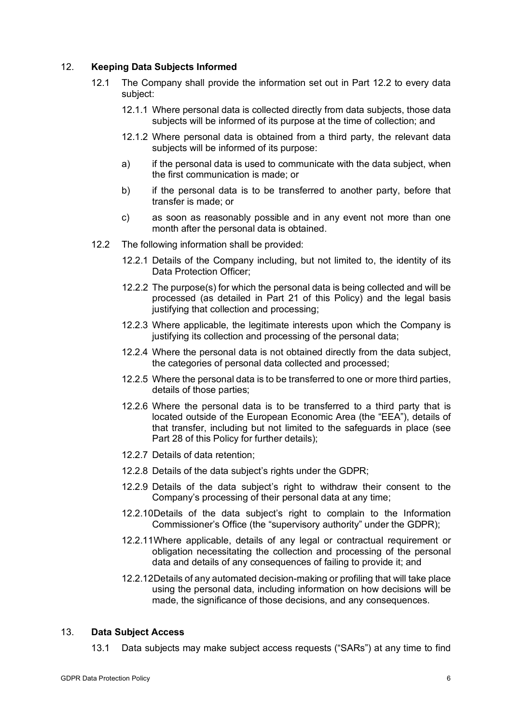# 12. **Keeping Data Subjects Informed**

- 12.1 The Company shall provide the information set out in Part 12.2 to every data subject:
	- 12.1.1 Where personal data is collected directly from data subjects, those data subjects will be informed of its purpose at the time of collection; and
	- 12.1.2 Where personal data is obtained from a third party, the relevant data subjects will be informed of its purpose:
	- a) if the personal data is used to communicate with the data subject, when the first communication is made; or
	- b) if the personal data is to be transferred to another party, before that transfer is made; or
	- c) as soon as reasonably possible and in any event not more than one month after the personal data is obtained.
- 12.2 The following information shall be provided:
	- 12.2.1 Details of the Company including, but not limited to, the identity of its Data Protection Officer:
	- 12.2.2 The purpose(s) for which the personal data is being collected and will be processed (as detailed in Part 21 of this Policy) and the legal basis justifying that collection and processing;
	- 12.2.3 Where applicable, the legitimate interests upon which the Company is justifying its collection and processing of the personal data;
	- 12.2.4 Where the personal data is not obtained directly from the data subject, the categories of personal data collected and processed;
	- 12.2.5 Where the personal data is to be transferred to one or more third parties, details of those parties;
	- 12.2.6 Where the personal data is to be transferred to a third party that is located outside of the European Economic Area (the "EEA"), details of that transfer, including but not limited to the safeguards in place (see Part 28 of this Policy for further details);
	- 12.2.7 Details of data retention;
	- 12.2.8 Details of the data subject's rights under the GDPR;
	- 12.2.9 Details of the data subject's right to withdraw their consent to the Company's processing of their personal data at any time;
	- 12.2.10Details of the data subject's right to complain to the Information Commissioner's Office (the "supervisory authority" under the GDPR);
	- 12.2.11Where applicable, details of any legal or contractual requirement or obligation necessitating the collection and processing of the personal data and details of any consequences of failing to provide it; and
	- 12.2.12Details of any automated decision-making or profiling that will take place using the personal data, including information on how decisions will be made, the significance of those decisions, and any consequences.

#### 13. **Data Subject Access**

13.1 Data subjects may make subject access requests ("SARs") at any time to find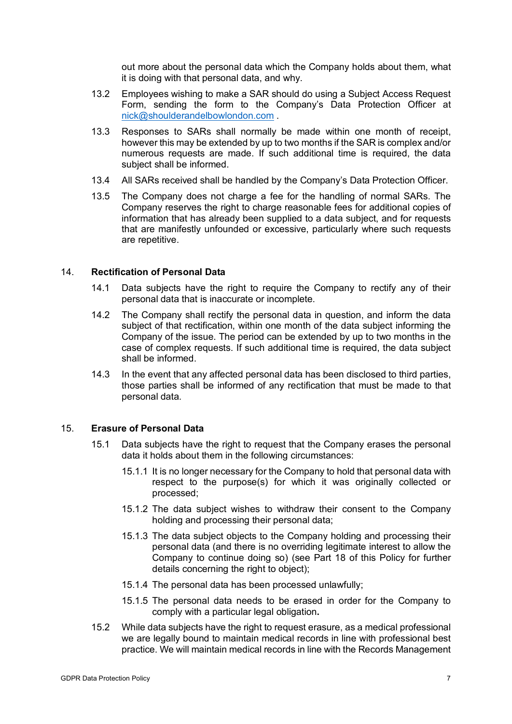out more about the personal data which the Company holds about them, what it is doing with that personal data, and why.

- 13.2 Employees wishing to make a SAR should do using a Subject Access Request Form, sending the form to the Company's Data Protection Officer at nick@shoulderandelbowlondon.com .
- 13.3 Responses to SARs shall normally be made within one month of receipt, however this may be extended by up to two months if the SAR is complex and/or numerous requests are made. If such additional time is required, the data subject shall be informed.
- 13.4 All SARs received shall be handled by the Company's Data Protection Officer.
- 13.5 The Company does not charge a fee for the handling of normal SARs. The Company reserves the right to charge reasonable fees for additional copies of information that has already been supplied to a data subject, and for requests that are manifestly unfounded or excessive, particularly where such requests are repetitive.

#### 14. **Rectification of Personal Data**

- 14.1 Data subjects have the right to require the Company to rectify any of their personal data that is inaccurate or incomplete.
- 14.2 The Company shall rectify the personal data in question, and inform the data subject of that rectification, within one month of the data subject informing the Company of the issue. The period can be extended by up to two months in the case of complex requests. If such additional time is required, the data subject shall be informed.
- 14.3 In the event that any affected personal data has been disclosed to third parties, those parties shall be informed of any rectification that must be made to that personal data.

#### 15. **Erasure of Personal Data**

- 15.1 Data subjects have the right to request that the Company erases the personal data it holds about them in the following circumstances:
	- 15.1.1 It is no longer necessary for the Company to hold that personal data with respect to the purpose(s) for which it was originally collected or processed;
	- 15.1.2 The data subject wishes to withdraw their consent to the Company holding and processing their personal data;
	- 15.1.3 The data subject objects to the Company holding and processing their personal data (and there is no overriding legitimate interest to allow the Company to continue doing so) (see Part 18 of this Policy for further details concerning the right to object);
	- 15.1.4 The personal data has been processed unlawfully;
	- 15.1.5 The personal data needs to be erased in order for the Company to comply with a particular legal obligation**.**
- 15.2 While data subjects have the right to request erasure, as a medical professional we are legally bound to maintain medical records in line with professional best practice. We will maintain medical records in line with the Records Management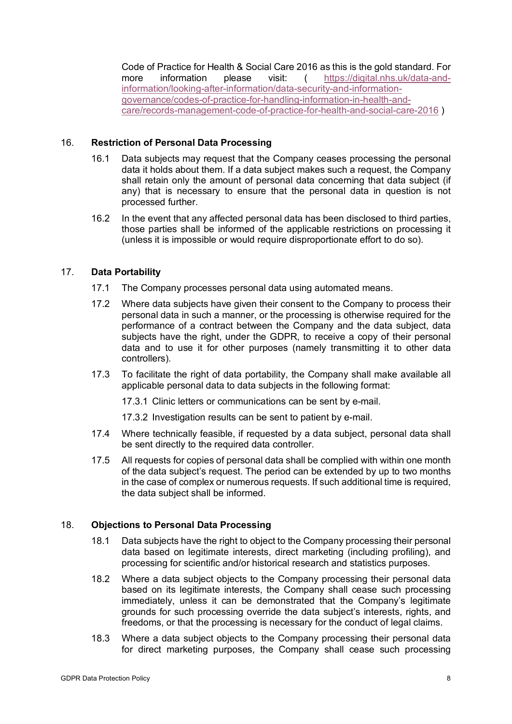Code of Practice for Health & Social Care 2016 as this is the gold standard. For more information please visit: ( https://digital.nhs.uk/data-andinformation/looking-after-information/data-security-and-informationgovernance/codes-of-practice-for-handling-information-in-health-andcare/records-management-code-of-practice-for-health-and-social-care-2016 )

# 16. **Restriction of Personal Data Processing**

- 16.1 Data subjects may request that the Company ceases processing the personal data it holds about them. If a data subject makes such a request, the Company shall retain only the amount of personal data concerning that data subject (if any) that is necessary to ensure that the personal data in question is not processed further.
- 16.2 In the event that any affected personal data has been disclosed to third parties, those parties shall be informed of the applicable restrictions on processing it (unless it is impossible or would require disproportionate effort to do so).

# 17. **Data Portability**

- 17.1 The Company processes personal data using automated means.
- 17.2 Where data subjects have given their consent to the Company to process their personal data in such a manner, or the processing is otherwise required for the performance of a contract between the Company and the data subject, data subjects have the right, under the GDPR, to receive a copy of their personal data and to use it for other purposes (namely transmitting it to other data controllers).
- 17.3 To facilitate the right of data portability, the Company shall make available all applicable personal data to data subjects in the following format:

17.3.1 Clinic letters or communications can be sent by e-mail.

17.3.2 Investigation results can be sent to patient by e-mail.

- 17.4 Where technically feasible, if requested by a data subject, personal data shall be sent directly to the required data controller.
- 17.5 All requests for copies of personal data shall be complied with within one month of the data subject's request. The period can be extended by up to two months in the case of complex or numerous requests. If such additional time is required, the data subject shall be informed.

# 18. **Objections to Personal Data Processing**

- 18.1 Data subjects have the right to object to the Company processing their personal data based on legitimate interests, direct marketing (including profiling), and processing for scientific and/or historical research and statistics purposes.
- 18.2 Where a data subject objects to the Company processing their personal data based on its legitimate interests, the Company shall cease such processing immediately, unless it can be demonstrated that the Company's legitimate grounds for such processing override the data subject's interests, rights, and freedoms, or that the processing is necessary for the conduct of legal claims.
- 18.3 Where a data subject objects to the Company processing their personal data for direct marketing purposes, the Company shall cease such processing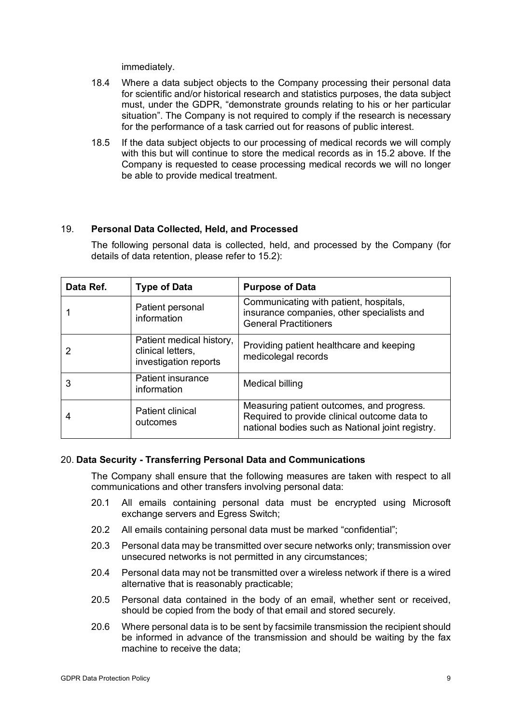immediately.

- 18.4 Where a data subject objects to the Company processing their personal data for scientific and/or historical research and statistics purposes, the data subject must, under the GDPR, "demonstrate grounds relating to his or her particular situation". The Company is not required to comply if the research is necessary for the performance of a task carried out for reasons of public interest.
- 18.5 If the data subject objects to our processing of medical records we will comply with this but will continue to store the medical records as in 15.2 above. If the Company is requested to cease processing medical records we will no longer be able to provide medical treatment.

#### 19. **Personal Data Collected, Held, and Processed**

The following personal data is collected, held, and processed by the Company (for details of data retention, please refer to 15.2):

| Data Ref. | <b>Type of Data</b>                                                    | <b>Purpose of Data</b>                                                                                                                        |
|-----------|------------------------------------------------------------------------|-----------------------------------------------------------------------------------------------------------------------------------------------|
|           | Patient personal<br>information                                        | Communicating with patient, hospitals,<br>insurance companies, other specialists and<br><b>General Practitioners</b>                          |
|           | Patient medical history,<br>clinical letters,<br>investigation reports | Providing patient healthcare and keeping<br>medicolegal records                                                                               |
| 3         | <b>Patient insurance</b><br>information                                | Medical billing                                                                                                                               |
| 4         | <b>Patient clinical</b><br>outcomes                                    | Measuring patient outcomes, and progress.<br>Required to provide clinical outcome data to<br>national bodies such as National joint registry. |

#### 20. **Data Security - Transferring Personal Data and Communications**

The Company shall ensure that the following measures are taken with respect to all communications and other transfers involving personal data:

- 20.1 All emails containing personal data must be encrypted using Microsoft exchange servers and Egress Switch;
- 20.2 All emails containing personal data must be marked "confidential";
- 20.3 Personal data may be transmitted over secure networks only; transmission over unsecured networks is not permitted in any circumstances;
- 20.4 Personal data may not be transmitted over a wireless network if there is a wired alternative that is reasonably practicable;
- 20.5 Personal data contained in the body of an email, whether sent or received, should be copied from the body of that email and stored securely.
- 20.6 Where personal data is to be sent by facsimile transmission the recipient should be informed in advance of the transmission and should be waiting by the fax machine to receive the data;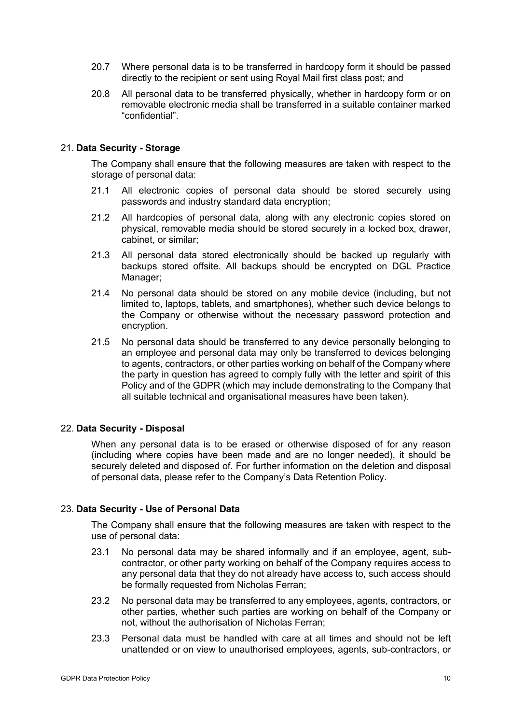- 20.7 Where personal data is to be transferred in hardcopy form it should be passed directly to the recipient or sent using Royal Mail first class post; and
- 20.8 All personal data to be transferred physically, whether in hardcopy form or on removable electronic media shall be transferred in a suitable container marked "confidential".

#### 21. **Data Security - Storage**

The Company shall ensure that the following measures are taken with respect to the storage of personal data:

- 21.1 All electronic copies of personal data should be stored securely using passwords and industry standard data encryption;
- 21.2 All hardcopies of personal data, along with any electronic copies stored on physical, removable media should be stored securely in a locked box, drawer, cabinet, or similar;
- 21.3 All personal data stored electronically should be backed up regularly with backups stored offsite. All backups should be encrypted on DGL Practice Manager;
- 21.4 No personal data should be stored on any mobile device (including, but not limited to, laptops, tablets, and smartphones), whether such device belongs to the Company or otherwise without the necessary password protection and encryption.
- 21.5 No personal data should be transferred to any device personally belonging to an employee and personal data may only be transferred to devices belonging to agents, contractors, or other parties working on behalf of the Company where the party in question has agreed to comply fully with the letter and spirit of this Policy and of the GDPR (which may include demonstrating to the Company that all suitable technical and organisational measures have been taken).

#### 22. **Data Security - Disposal**

When any personal data is to be erased or otherwise disposed of for any reason (including where copies have been made and are no longer needed), it should be securely deleted and disposed of. For further information on the deletion and disposal of personal data, please refer to the Company's Data Retention Policy.

#### 23. **Data Security - Use of Personal Data**

The Company shall ensure that the following measures are taken with respect to the use of personal data:

- 23.1 No personal data may be shared informally and if an employee, agent, subcontractor, or other party working on behalf of the Company requires access to any personal data that they do not already have access to, such access should be formally requested from Nicholas Ferran;
- 23.2 No personal data may be transferred to any employees, agents, contractors, or other parties, whether such parties are working on behalf of the Company or not, without the authorisation of Nicholas Ferran;
- 23.3 Personal data must be handled with care at all times and should not be left unattended or on view to unauthorised employees, agents, sub-contractors, or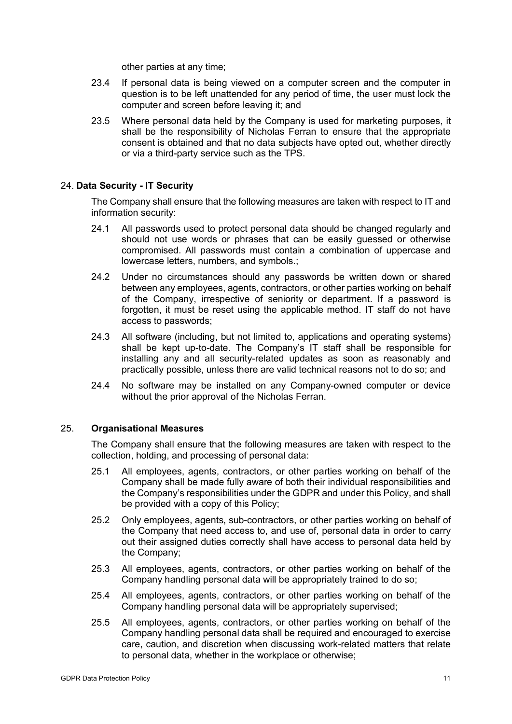other parties at any time;

- 23.4 If personal data is being viewed on a computer screen and the computer in question is to be left unattended for any period of time, the user must lock the computer and screen before leaving it; and
- 23.5 Where personal data held by the Company is used for marketing purposes, it shall be the responsibility of Nicholas Ferran to ensure that the appropriate consent is obtained and that no data subjects have opted out, whether directly or via a third-party service such as the TPS.

### 24. **Data Security - IT Security**

The Company shall ensure that the following measures are taken with respect to IT and information security:

- 24.1 All passwords used to protect personal data should be changed regularly and should not use words or phrases that can be easily guessed or otherwise compromised. All passwords must contain a combination of uppercase and lowercase letters, numbers, and symbols.;
- 24.2 Under no circumstances should any passwords be written down or shared between any employees, agents, contractors, or other parties working on behalf of the Company, irrespective of seniority or department. If a password is forgotten, it must be reset using the applicable method. IT staff do not have access to passwords;
- 24.3 All software (including, but not limited to, applications and operating systems) shall be kept up-to-date. The Company's IT staff shall be responsible for installing any and all security-related updates as soon as reasonably and practically possible, unless there are valid technical reasons not to do so; and
- 24.4 No software may be installed on any Company-owned computer or device without the prior approval of the Nicholas Ferran.

#### 25. **Organisational Measures**

The Company shall ensure that the following measures are taken with respect to the collection, holding, and processing of personal data:

- 25.1 All employees, agents, contractors, or other parties working on behalf of the Company shall be made fully aware of both their individual responsibilities and the Company's responsibilities under the GDPR and under this Policy, and shall be provided with a copy of this Policy;
- 25.2 Only employees, agents, sub-contractors, or other parties working on behalf of the Company that need access to, and use of, personal data in order to carry out their assigned duties correctly shall have access to personal data held by the Company;
- 25.3 All employees, agents, contractors, or other parties working on behalf of the Company handling personal data will be appropriately trained to do so;
- 25.4 All employees, agents, contractors, or other parties working on behalf of the Company handling personal data will be appropriately supervised;
- 25.5 All employees, agents, contractors, or other parties working on behalf of the Company handling personal data shall be required and encouraged to exercise care, caution, and discretion when discussing work-related matters that relate to personal data, whether in the workplace or otherwise;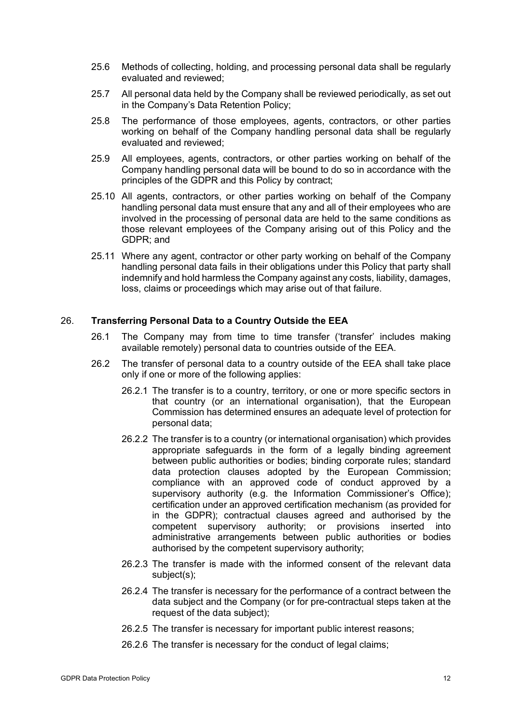- 25.6 Methods of collecting, holding, and processing personal data shall be regularly evaluated and reviewed;
- 25.7 All personal data held by the Company shall be reviewed periodically, as set out in the Company's Data Retention Policy;
- 25.8 The performance of those employees, agents, contractors, or other parties working on behalf of the Company handling personal data shall be regularly evaluated and reviewed;
- 25.9 All employees, agents, contractors, or other parties working on behalf of the Company handling personal data will be bound to do so in accordance with the principles of the GDPR and this Policy by contract;
- 25.10 All agents, contractors, or other parties working on behalf of the Company handling personal data must ensure that any and all of their employees who are involved in the processing of personal data are held to the same conditions as those relevant employees of the Company arising out of this Policy and the GDPR; and
- 25.11 Where any agent, contractor or other party working on behalf of the Company handling personal data fails in their obligations under this Policy that party shall indemnify and hold harmless the Company against any costs, liability, damages, loss, claims or proceedings which may arise out of that failure.

#### 26. **Transferring Personal Data to a Country Outside the EEA**

- 26.1 The Company may from time to time transfer ('transfer' includes making available remotely) personal data to countries outside of the EEA.
- 26.2 The transfer of personal data to a country outside of the EEA shall take place only if one or more of the following applies:
	- 26.2.1 The transfer is to a country, territory, or one or more specific sectors in that country (or an international organisation), that the European Commission has determined ensures an adequate level of protection for personal data;
	- 26.2.2 The transfer is to a country (or international organisation) which provides appropriate safeguards in the form of a legally binding agreement between public authorities or bodies; binding corporate rules; standard data protection clauses adopted by the European Commission; compliance with an approved code of conduct approved by a supervisory authority (e.g. the Information Commissioner's Office); certification under an approved certification mechanism (as provided for in the GDPR); contractual clauses agreed and authorised by the competent supervisory authority; or provisions inserted into administrative arrangements between public authorities or bodies authorised by the competent supervisory authority;
	- 26.2.3 The transfer is made with the informed consent of the relevant data subject(s);
	- 26.2.4 The transfer is necessary for the performance of a contract between the data subject and the Company (or for pre-contractual steps taken at the request of the data subject);
	- 26.2.5 The transfer is necessary for important public interest reasons;
	- 26.2.6 The transfer is necessary for the conduct of legal claims;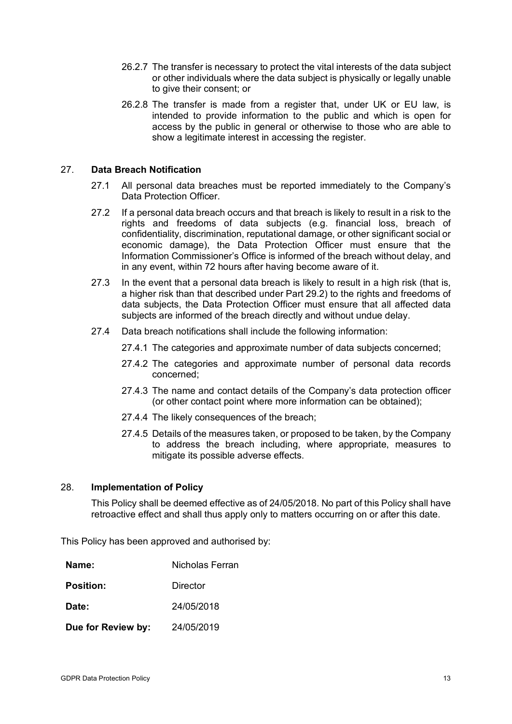- 26.2.7 The transfer is necessary to protect the vital interests of the data subject or other individuals where the data subject is physically or legally unable to give their consent; or
- 26.2.8 The transfer is made from a register that, under UK or EU law, is intended to provide information to the public and which is open for access by the public in general or otherwise to those who are able to show a legitimate interest in accessing the register.

## 27. **Data Breach Notification**

- 27.1 All personal data breaches must be reported immediately to the Company's Data Protection Officer.
- 27.2 If a personal data breach occurs and that breach is likely to result in a risk to the rights and freedoms of data subjects (e.g. financial loss, breach of confidentiality, discrimination, reputational damage, or other significant social or economic damage), the Data Protection Officer must ensure that the Information Commissioner's Office is informed of the breach without delay, and in any event, within 72 hours after having become aware of it.
- 27.3 In the event that a personal data breach is likely to result in a high risk (that is, a higher risk than that described under Part 29.2) to the rights and freedoms of data subjects, the Data Protection Officer must ensure that all affected data subjects are informed of the breach directly and without undue delay.
- 27.4 Data breach notifications shall include the following information:
	- 27.4.1 The categories and approximate number of data subjects concerned;
	- 27.4.2 The categories and approximate number of personal data records concerned;
	- 27.4.3 The name and contact details of the Company's data protection officer (or other contact point where more information can be obtained);
	- 27.4.4 The likely consequences of the breach;
	- 27.4.5 Details of the measures taken, or proposed to be taken, by the Company to address the breach including, where appropriate, measures to mitigate its possible adverse effects.

# 28. **Implementation of Policy**

This Policy shall be deemed effective as of 24/05/2018. No part of this Policy shall have retroactive effect and shall thus apply only to matters occurring on or after this date.

This Policy has been approved and authorised by:

| Name:              | Nicholas Ferran |
|--------------------|-----------------|
| <b>Position:</b>   | Director        |
| Date:              | 24/05/2018      |
| Due for Review by: | 24/05/2019      |